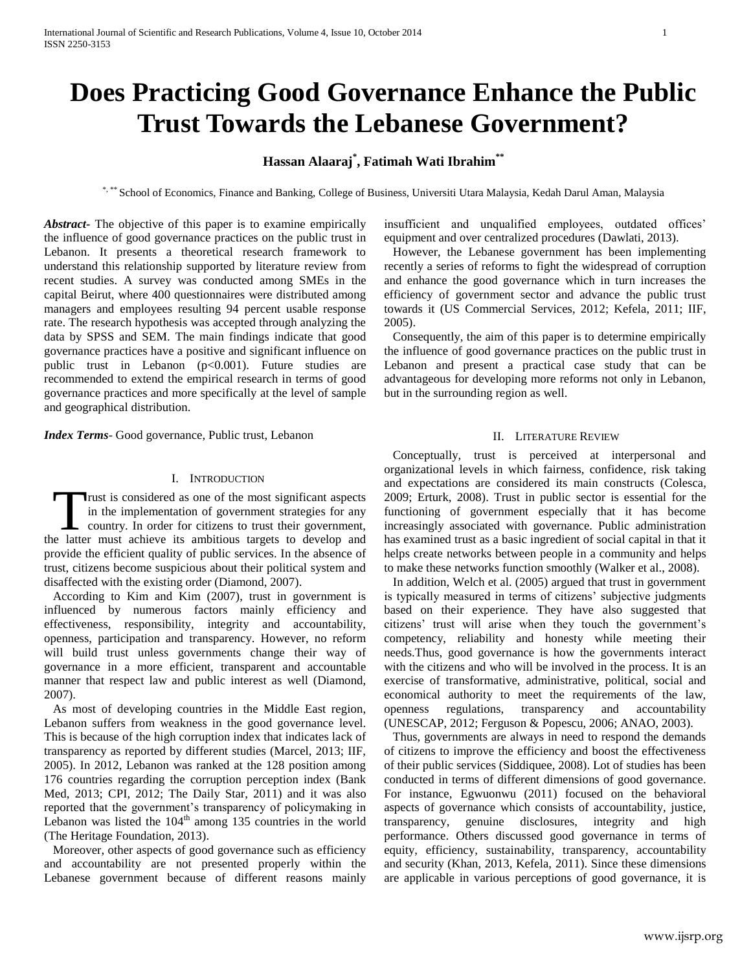# **Does Practicing Good Governance Enhance the Public Trust Towards the Lebanese Government?**

# **Hassan Alaaraj\* , Fatimah Wati Ibrahim\*\***

\*, \*\* School of Economics, Finance and Banking, College of Business, Universiti Utara Malaysia, Kedah Darul Aman, Malaysia

*Abstract***-** The objective of this paper is to examine empirically the influence of good governance practices on the public trust in Lebanon. It presents a theoretical research framework to understand this relationship supported by literature review from recent studies. A survey was conducted among SMEs in the capital Beirut, where 400 questionnaires were distributed among managers and employees resulting 94 percent usable response rate. The research hypothesis was accepted through analyzing the data by SPSS and SEM. The main findings indicate that good governance practices have a positive and significant influence on public trust in Lebanon (p<0.001). Future studies are recommended to extend the empirical research in terms of good governance practices and more specifically at the level of sample and geographical distribution.

*Index Terms*- Good governance, Public trust, Lebanon

#### I. INTRODUCTION

rust is considered as one of the most significant aspects in the implementation of government strategies for any country. In order for citizens to trust their government, Trust is considered as one of the most significant aspects<br>in the implementation of government strategies for any<br>country. In order for citizens to trust their government,<br>the latter must achieve its ambitious targets to d provide the efficient quality of public services. In the absence of trust, citizens become suspicious about their political system and disaffected with the existing order (Diamond, 2007).

According to Kim and Kim (2007), trust in government is influenced by numerous factors mainly efficiency and effectiveness, responsibility, integrity and accountability, openness, participation and transparency. However, no reform will build trust unless governments change their way of governance in a more efficient, transparent and accountable manner that respect law and public interest as well (Diamond, 2007).

As most of developing countries in the Middle East region, Lebanon suffers from weakness in the good governance level. This is because of the high corruption index that indicates lack of transparency as reported by different studies (Marcel, 2013; IIF, 2005). In 2012, Lebanon was ranked at the 128 position among 176 countries regarding the corruption perception index (Bank Med, 2013; CPI, 2012; The Daily Star, 2011) and it was also reported that the government's transparency of policymaking in Lebanon was listed the  $104<sup>th</sup>$  among 135 countries in the world (The Heritage Foundation, 2013).

Moreover, other aspects of good governance such as efficiency and accountability are not presented properly within the Lebanese government because of different reasons mainly

insufficient and unqualified employees, outdated offices' equipment and over centralized procedures (Dawlati, 2013).

However, the Lebanese government has been implementing recently a series of reforms to fight the widespread of corruption and enhance the good governance which in turn increases the efficiency of government sector and advance the public trust towards it (US Commercial Services, 2012; Kefela, 2011; IIF, 2005).

Consequently, the aim of this paper is to determine empirically the influence of good governance practices on the public trust in Lebanon and present a practical case study that can be advantageous for developing more reforms not only in Lebanon, but in the surrounding region as well.

#### II. LITERATURE REVIEW

Conceptually, trust is perceived at interpersonal and organizational levels in which fairness, confidence, risk taking and expectations are considered its main constructs (Colesca, 2009; Erturk, 2008). Trust in public sector is essential for the functioning of government especially that it has become increasingly associated with governance. Public administration has examined trust as a basic ingredient of social capital in that it helps create networks between people in a community and helps to make these networks function smoothly (Walker et al., 2008).

In addition, Welch et al. (2005) argued that trust in government is typically measured in terms of citizens' subjective judgments based on their experience. They have also suggested that citizens' trust will arise when they touch the government's competency, reliability and honesty while meeting their needs.Thus, good governance is how the governments interact with the citizens and who will be involved in the process. It is an exercise of transformative, administrative, political, social and economical authority to meet the requirements of the law, openness regulations, transparency and accountability (UNESCAP, 2012; Ferguson & Popescu, 2006; ANAO, 2003).

Thus, governments are always in need to respond the demands of citizens to improve the efficiency and boost the effectiveness of their public services (Siddiquee, 2008). Lot of studies has been conducted in terms of different dimensions of good governance. For instance, Egwuonwu (2011) focused on the behavioral aspects of governance which consists of accountability, justice, transparency, genuine disclosures, integrity and high performance. Others discussed good governance in terms of equity, efficiency, sustainability, transparency, accountability and security (Khan, 2013, Kefela, 2011). Since these dimensions are applicable in various perceptions of good governance, it is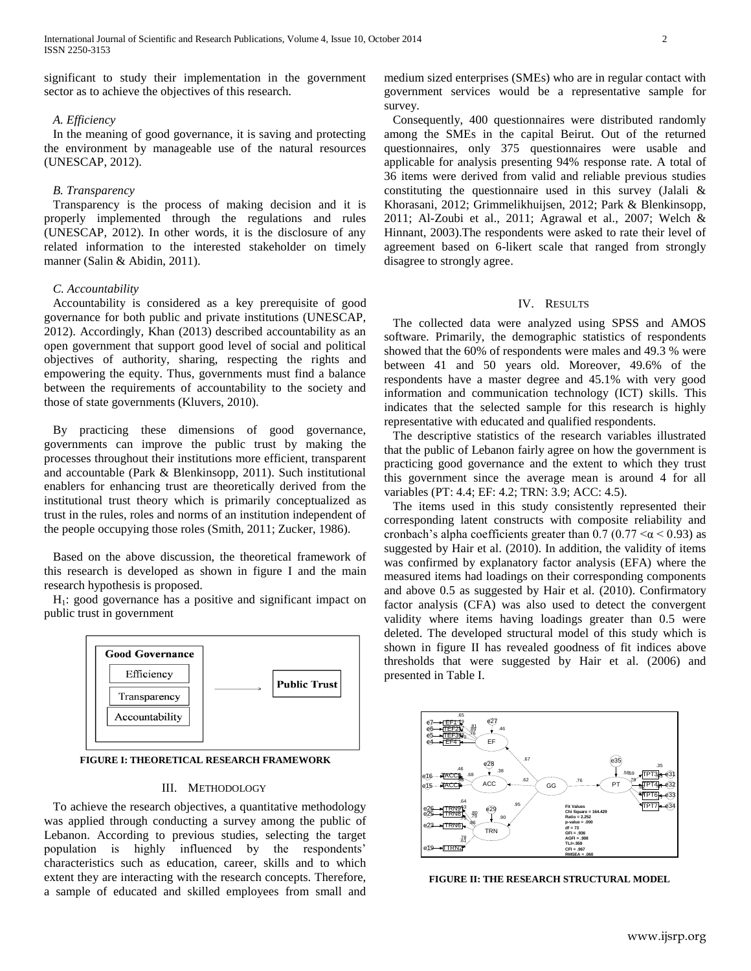significant to study their implementation in the government sector as to achieve the objectives of this research.

## *A. Efficiency*

In the meaning of good governance, it is saving and protecting the environment by manageable use of the natural resources (UNESCAP, 2012).

#### *B. Transparency*

Transparency is the process of making decision and it is properly implemented through the regulations and rules (UNESCAP, 2012). In other words, it is the disclosure of any related information to the interested stakeholder on timely manner (Salin & Abidin, 2011).

#### *C. Accountability*

Accountability is considered as a key prerequisite of good governance for both public and private institutions (UNESCAP, 2012). Accordingly, Khan (2013) described accountability as an open government that support good level of social and political objectives of authority, sharing, respecting the rights and empowering the equity. Thus, governments must find a balance between the requirements of accountability to the society and those of state governments (Kluvers, 2010).

By practicing these dimensions of good governance, governments can improve the public trust by making the processes throughout their institutions more efficient, transparent and accountable (Park & Blenkinsopp, 2011). Such institutional enablers for enhancing trust are theoretically derived from the institutional trust theory which is primarily conceptualized as trust in the rules, roles and norms of an institution independent of the people occupying those roles (Smith, 2011; Zucker, 1986).

Based on the above discussion, the theoretical framework of this research is developed as shown in figure I and the main research hypothesis is proposed.

 $H<sub>1</sub>$ : good governance has a positive and significant impact on public trust in government



**FIGURE I: THEORETICAL RESEARCH FRAMEWORK**

# III. METHODOLOGY

To achieve the research objectives, a quantitative methodology was applied through conducting a survey among the public of Lebanon. According to previous studies, selecting the target population is highly influenced by the respondents' characteristics such as education, career, skills and to which extent they are interacting with the research concepts. Therefore, a sample of educated and skilled employees from small and

medium sized enterprises (SMEs) who are in regular contact with government services would be a representative sample for survey.

Consequently, 400 questionnaires were distributed randomly among the SMEs in the capital Beirut. Out of the returned questionnaires, only 375 questionnaires were usable and applicable for analysis presenting 94% response rate. A total of 36 items were derived from valid and reliable previous studies constituting the questionnaire used in this survey (Jalali & Khorasani, 2012; Grimmelikhuijsen, 2012; Park & Blenkinsopp, 2011; Al-Zoubi et al., 2011; Agrawal et al., 2007; Welch & Hinnant, 2003).The respondents were asked to rate their level of agreement based on 6-likert scale that ranged from strongly disagree to strongly agree.

### IV. RESULTS

The collected data were analyzed using SPSS and AMOS software. Primarily, the demographic statistics of respondents showed that the 60% of respondents were males and 49.3 % were between 41 and 50 years old. Moreover, 49.6% of the respondents have a master degree and 45.1% with very good information and communication technology (ICT) skills. This indicates that the selected sample for this research is highly representative with educated and qualified respondents.

The descriptive statistics of the research variables illustrated that the public of Lebanon fairly agree on how the government is practicing good governance and the extent to which they trust this government since the average mean is around 4 for all variables (PT: 4.4; EF: 4.2; TRN: 3.9; ACC: 4.5).

The items used in this study consistently represented their corresponding latent constructs with composite reliability and cronbach's alpha coefficients greater than 0.7 (0.77  $\leq \alpha \leq 0.93$ ) as suggested by Hair et al. (2010). In addition, the validity of items was confirmed by explanatory factor analysis (EFA) where the measured items had loadings on their corresponding components and above 0.5 as suggested by Hair et al. (2010). Confirmatory factor analysis (CFA) was also used to detect the convergent validity where items having loadings greater than 0.5 were deleted. The developed structural model of this study which is shown in figure II has revealed goodness of fit indices above thresholds that were suggested by Hair et al. (2006) and presented in Table I.



**FIGURE II: THE RESEARCH STRUCTURAL MODEL**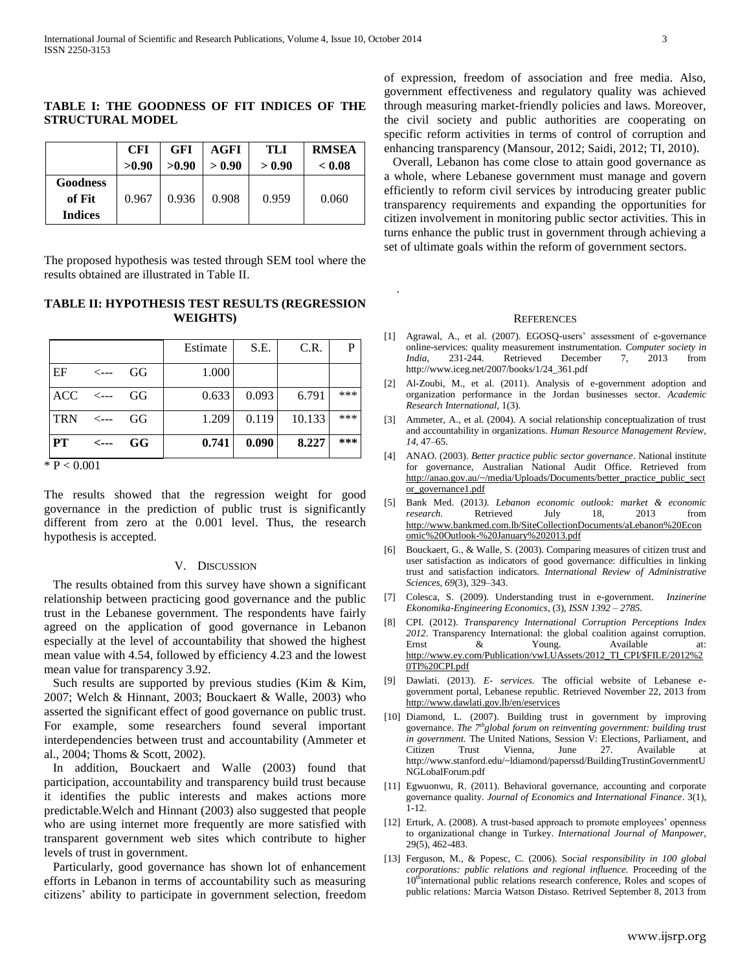#### **TABLE I: THE GOODNESS OF FIT INDICES OF THE STRUCTURAL MODEL**

|                                             | <b>CFI</b> | <b>GFI</b> | AGFI   | TLI    | <b>RMSEA</b> |
|---------------------------------------------|------------|------------|--------|--------|--------------|
|                                             | >0.90      | >0.90      | > 0.90 | > 0.90 | < 0.08       |
| <b>Goodness</b><br>of Fit<br><b>Indices</b> | 0.967      | 0.936      | 0.908  | 0.959  | 0.060        |

The proposed hypothesis was tested through SEM tool where the results obtained are illustrated in Table II.

# **TABLE II: HYPOTHESIS TEST RESULTS (REGRESSION WEIGHTS)**

|            |                  |    | Estimate | S.E.  | C.R.   | P   |
|------------|------------------|----|----------|-------|--------|-----|
| EF         | $\leftarrow$ --- | GG | 1.000    |       |        |     |
| <b>ACC</b> | $\lt$ ---        | GG | 0.633    | 0.093 | 6.791  | *** |
| <b>TRN</b> | $\leftarrow$ --- | GG | 1.209    | 0.119 | 10.133 | *** |
| <b>PT</b>  | $\leftarrow$     | GG | 0.741    | 0.090 | 8.227  | *** |

 $*$  P < 0.001

The results showed that the regression weight for good governance in the prediction of public trust is significantly different from zero at the 0.001 level. Thus, the research hypothesis is accepted.

#### V. DISCUSSION

The results obtained from this survey have shown a significant relationship between practicing good governance and the public trust in the Lebanese government. The respondents have fairly agreed on the application of good governance in Lebanon especially at the level of accountability that showed the highest mean value with 4.54, followed by efficiency 4.23 and the lowest mean value for transparency 3.92.

Such results are supported by previous studies (Kim & Kim, 2007; Welch & Hinnant, 2003; Bouckaert & Walle, 2003) who asserted the significant effect of good governance on public trust. For example, some researchers found several important interdependencies between trust and accountability (Ammeter et al., 2004; Thoms & Scott, 2002).

In addition, Bouckaert and Walle (2003) found that participation, accountability and transparency build trust because it identifies the public interests and makes actions more predictable.Welch and Hinnant (2003) also suggested that people who are using internet more frequently are more satisfied with transparent government web sites which contribute to higher levels of trust in government.

Particularly, good governance has shown lot of enhancement efforts in Lebanon in terms of accountability such as measuring citizens' ability to participate in government selection, freedom of expression, freedom of association and free media. Also, government effectiveness and regulatory quality was achieved through measuring market-friendly policies and laws. Moreover, the civil society and public authorities are cooperating on specific reform activities in terms of control of corruption and enhancing transparency (Mansour, 2012; Saidi, 2012; TI, 2010).

Overall, Lebanon has come close to attain good governance as a whole, where Lebanese government must manage and govern efficiently to reform civil services by introducing greater public transparency requirements and expanding the opportunities for citizen involvement in monitoring public sector activities. This in turns enhance the public trust in government through achieving a set of ultimate goals within the reform of government sectors.

#### **REFERENCES**

.

- [1] Agrawal, A., et al. (2007). EGOSQ-users' assessment of e-governance online-services: quality measurement instrumentation. *Computer society in India*, 231-244. Retrieved December 7, 2013 from [http://www.iceg.net/2007/books/1/24\\_361.pdf](http://www.iceg.net/2007/books/1/24_361.pdf)
- [2] Al-Zoubi, M., et al. (2011). Analysis of e-government adoption and organization performance in the Jordan businesses sector. *Academic Research International,* 1(3).
- [3] Ammeter, A., et al. (2004). A social relationship conceptualization of trust and accountability in organizations. *Human Resource Management Review, 14*, 47–65.
- [4] ANAO. (2003). *Better practice public sector governance*. National institute for governance, Australian National Audit Office. Retrieved from [http://anao.gov.au/~/media/Uploads/Documents/better\\_practice\\_public\\_sect](http://anao.gov.au/~/media/Uploads/Documents/better_practice_public_sector_governance1.pdf) [or\\_governance1.pdf](http://anao.gov.au/~/media/Uploads/Documents/better_practice_public_sector_governance1.pdf)
- [5] Bank Med. (2013*). Lebanon economic outlook: market & economic research.* Retrieved July 18, 2013 from [http://www.bankmed.com.lb/SiteCollectionDocuments/aLebanon%20Econ](http://www.bankmed.com.lb/SiteCollectionDocuments/aLebanon%20Economic%20Outlook-%20January%202013.pdf) [omic%20Outlook-%20January%202013.pdf](http://www.bankmed.com.lb/SiteCollectionDocuments/aLebanon%20Economic%20Outlook-%20January%202013.pdf)
- [6] Bouckaert, G., & Walle, S. (2003). Comparing measures of citizen trust and user satisfaction as indicators of good governance: difficulties in linking trust and satisfaction indicators. *International Review of Administrative Sciences, 69*(3), 329–343.
- [7] Colesca, S. (2009). Understanding trust in e-government. *Inzinerine Ekonomika-Engineering Economics*, (3), *ISSN 1392 – 2785.*
- [8] CPI. (2012). *Transparency International Corruption Perceptions Index 2012*. Transparency International: the global coalition against corruption. Ernst & Young. Available at: [http://www.ey.com/Publication/vwLUAssets/2012\\_TI\\_CPI/\\$FILE/2012%2](http://www.ey.com/Publication/vwLUAssets/2012_TI_CPI/$FILE/2012%20TI%20CPI.pdf) [0TI%20CPI.pdf](http://www.ey.com/Publication/vwLUAssets/2012_TI_CPI/$FILE/2012%20TI%20CPI.pdf)
- [9] Dawlati. (2013). *E- services*. The official website of Lebanese egovernment portal, Lebanese republic. Retrieved November 22, 2013 from <http://www.dawlati.gov.lb/en/eservices>
- [10] Diamond, L. (2007). Building trust in government by improving governance. *The 7thglobal forum on reinventing government: building trust in government.* The United Nations, Session V: Elections, Parliament, and Citizen Trust Vienna, June 27. Available at Trust Vienna, June 27. Available at [http://www.stanford.edu/~ldiamond/paperssd/BuildingTrustinGovernmentU](http://www.stanford.edu/~ldiamond/paperssd/BuildingTrustinGovernmentUNGLobalForum.pdf) [NGLobalForum.pdf](http://www.stanford.edu/~ldiamond/paperssd/BuildingTrustinGovernmentUNGLobalForum.pdf)
- [11] Egwuonwu, R. (2011). Behavioral governance, accounting and corporate governance quality. *Journal of Economics and International Finance*. 3(1), 1-12.
- [12] Erturk, A. (2008). A trust-based approach to promote employees' openness to organizational change in Turkey. *International Journal of Manpower,* 29(5), 462-483.
- [13] Ferguson, M., & Popesc, C. (2006). S*ocial responsibility in 100 global corporations: public relations and regional influence.* Proceeding of the 10<sup>th</sup>international public relations research conference, Roles and scopes of public relations*:* Marcia Watson Distaso. Retrived September 8, 2013 from